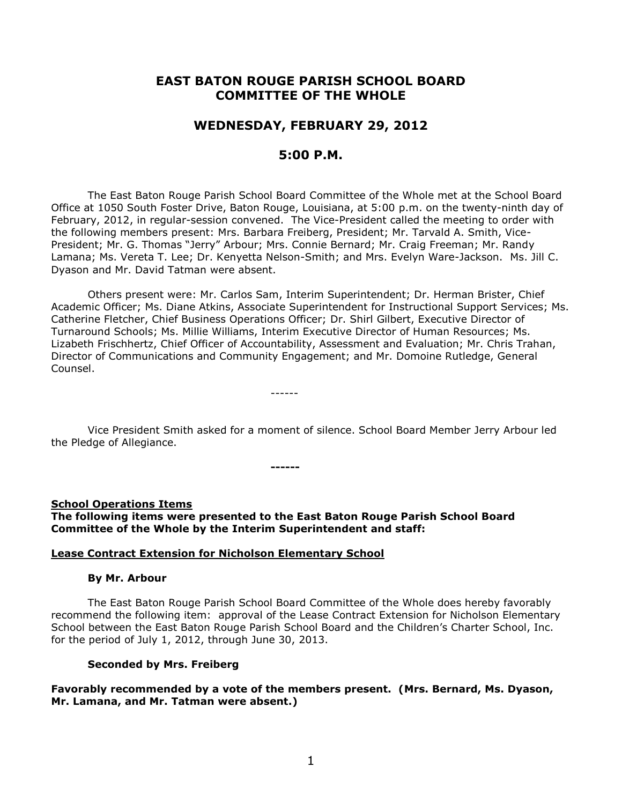# **EAST BATON ROUGE PARISH SCHOOL BOARD COMMITTEE OF THE WHOLE**

# **WEDNESDAY, FEBRUARY 29, 2012**

# **5:00 P.M.**

The East Baton Rouge Parish School Board Committee of the Whole met at the School Board Office at 1050 South Foster Drive, Baton Rouge, Louisiana, at 5:00 p.m. on the twenty-ninth day of February, 2012, in regular-session convened. The Vice-President called the meeting to order with the following members present: Mrs. Barbara Freiberg, President; Mr. Tarvald A. Smith, Vice-President; Mr. G. Thomas "Jerry" Arbour; Mrs. Connie Bernard; Mr. Craig Freeman; Mr. Randy Lamana; Ms. Vereta T. Lee; Dr. Kenyetta Nelson-Smith; and Mrs. Evelyn Ware-Jackson. Ms. Jill C. Dyason and Mr. David Tatman were absent.

Others present were: Mr. Carlos Sam, Interim Superintendent; Dr. Herman Brister, Chief Academic Officer; Ms. Diane Atkins, Associate Superintendent for Instructional Support Services; Ms. Catherine Fletcher, Chief Business Operations Officer; Dr. Shirl Gilbert, Executive Director of Turnaround Schools; Ms. Millie Williams, Interim Executive Director of Human Resources; Ms. Lizabeth Frischhertz, Chief Officer of Accountability, Assessment and Evaluation; Mr. Chris Trahan, Director of Communications and Community Engagement; and Mr. Domoine Rutledge, General Counsel.

Vice President Smith asked for a moment of silence. School Board Member Jerry Arbour led the Pledge of Allegiance.

**School Operations Items The following items were presented to the East Baton Rouge Parish School Board Committee of the Whole by the Interim Superintendent and staff:**

**------**

------

### **Lease Contract Extension for Nicholson Elementary School**

#### **By Mr. Arbour**

The East Baton Rouge Parish School Board Committee of the Whole does hereby favorably recommend the following item: approval of the Lease Contract Extension for Nicholson Elementary School between the East Baton Rouge Parish School Board and the Children's Charter School, Inc. for the period of July 1, 2012, through June 30, 2013.

### **Seconded by Mrs. Freiberg**

**Favorably recommended by a vote of the members present. (Mrs. Bernard, Ms. Dyason, Mr. Lamana, and Mr. Tatman were absent.)**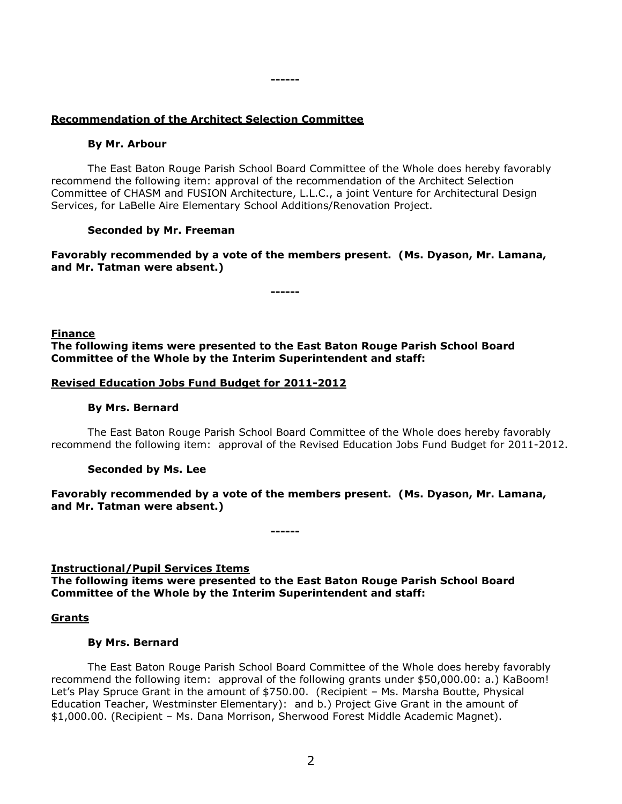# **Recommendation of the Architect Selection Committee**

## **By Mr. Arbour**

The East Baton Rouge Parish School Board Committee of the Whole does hereby favorably recommend the following item: approval of the recommendation of the Architect Selection Committee of CHASM and FUSION Architecture, L.L.C., a joint Venture for Architectural Design Services, for LaBelle Aire Elementary School Additions/Renovation Project.

**------**

# **Seconded by Mr. Freeman**

**Favorably recommended by a vote of the members present. (Ms. Dyason, Mr. Lamana, and Mr. Tatman were absent.)**

**------**

# **Finance The following items were presented to the East Baton Rouge Parish School Board Committee of the Whole by the Interim Superintendent and staff:**

# **Revised Education Jobs Fund Budget for 2011-2012**

## **By Mrs. Bernard**

The East Baton Rouge Parish School Board Committee of the Whole does hereby favorably recommend the following item: approval of the Revised Education Jobs Fund Budget for 2011-2012.

### **Seconded by Ms. Lee**

**Favorably recommended by a vote of the members present. (Ms. Dyason, Mr. Lamana, and Mr. Tatman were absent.)**

**------**

# **Instructional/Pupil Services Items**

**The following items were presented to the East Baton Rouge Parish School Board Committee of the Whole by the Interim Superintendent and staff:**

### **Grants**

## **By Mrs. Bernard**

The East Baton Rouge Parish School Board Committee of the Whole does hereby favorably recommend the following item: approval of the following grants under \$50,000.00: a.) KaBoom! Let's Play Spruce Grant in the amount of \$750.00. (Recipient – Ms. Marsha Boutte, Physical Education Teacher, Westminster Elementary): and b.) Project Give Grant in the amount of \$1,000.00. (Recipient – Ms. Dana Morrison, Sherwood Forest Middle Academic Magnet).